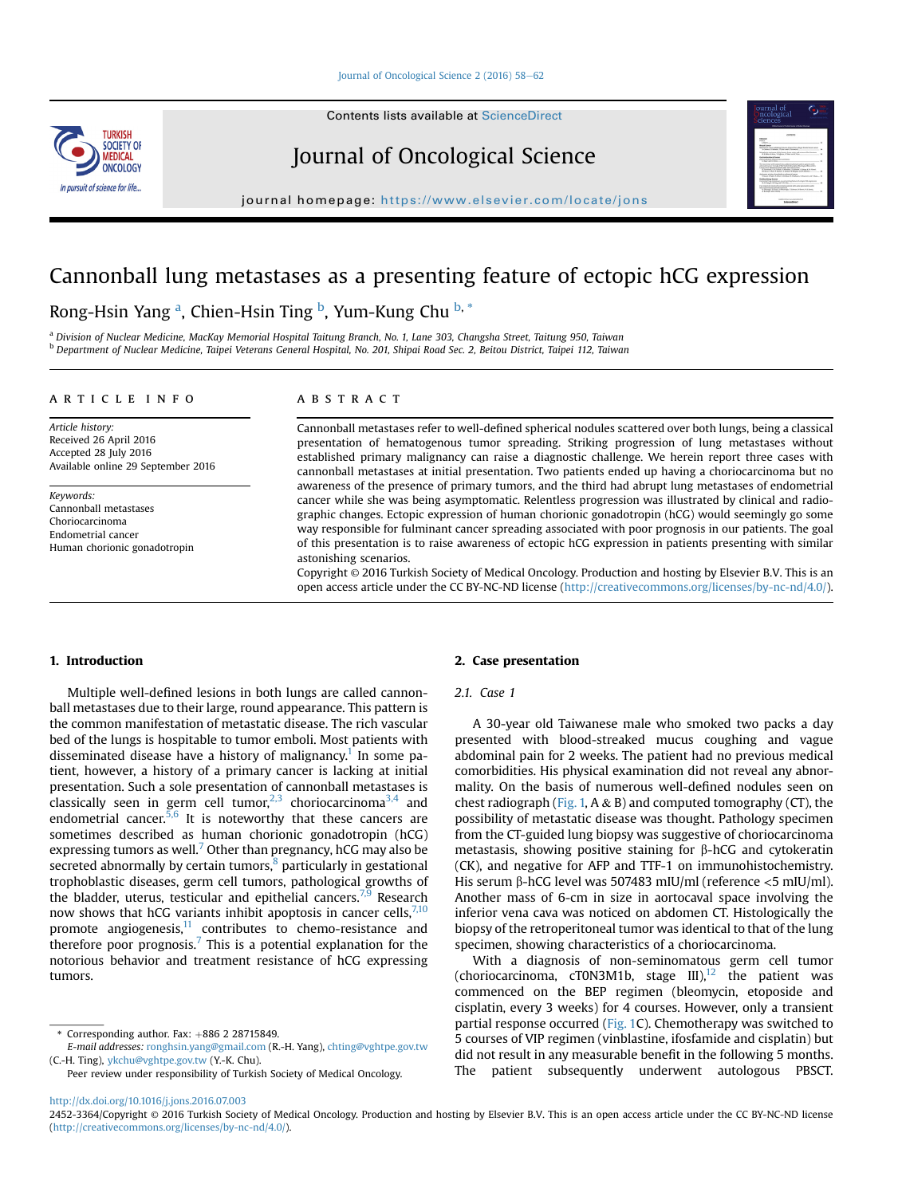Contents lists available at ScienceDirect

# **THDVICH** SOCIETY OF MEDICAL ONCOLOGY In pursuit of science for life.



journal homepage: [https://www.elsevier.com/locate/jons](http://www.elsevier.com/locate/jons)

# Cannonball lung metastases as a presenting feature of ectopic hCG expression

# Rong-Hsin Yang <sup>a</sup>, Chien-Hsin Ting <sup>b</sup>, Yum-Kung Chu <sup>b, \*</sup>

a Division of Nuclear Medicine, MacKay Memorial Hospital Taitung Branch, No. 1, Lane 303, Changsha Street, Taitung 950, Taiwan <sup>b</sup> Department of Nuclear Medicine, Taipei Veterans General Hospital, No. 201, Shipai Road Sec. 2, Beitou District, Taipei 112, Taiwan

# article info

Article history: Received 26 April 2016 Accepted 28 July 2016 Available online 29 September 2016

Keywords: Cannonball metastases Choriocarcinoma Endometrial cancer Human chorionic gonadotropin

# ABSTRACT

Cannonball metastases refer to well-defined spherical nodules scattered over both lungs, being a classical presentation of hematogenous tumor spreading. Striking progression of lung metastases without established primary malignancy can raise a diagnostic challenge. We herein report three cases with cannonball metastases at initial presentation. Two patients ended up having a choriocarcinoma but no awareness of the presence of primary tumors, and the third had abrupt lung metastases of endometrial cancer while she was being asymptomatic. Relentless progression was illustrated by clinical and radiographic changes. Ectopic expression of human chorionic gonadotropin (hCG) would seemingly go some way responsible for fulminant cancer spreading associated with poor prognosis in our patients. The goal of this presentation is to raise awareness of ectopic hCG expression in patients presenting with similar astonishing scenarios.

Copyright © 2016 Turkish Society of Medical Oncology. Production and hosting by Elsevier B.V. This is an open access article under the CC BY-NC-ND license [\(http://creativecommons.org/licenses/by-nc-nd/4.0/](http://creativecommons.org/licenses/by-nc-nd/4.0/)).

# 1. Introduction

Multiple well-defined lesions in both lungs are called cannonball metastases due to their large, round appearance. This pattern is the common manifestation of metastatic disease. The rich vascular bed of the lungs is hospitable to tumor emboli. Most patients with disseminated disease have a history of malignancy.<sup>[1](#page-3-0)</sup> In some patient, however, a history of a primary cancer is lacking at initial presentation. Such a sole presentation of cannonball metastases is classically seen in germ cell tumor,<sup>[2,3](#page-3-0)</sup> choriocarcinoma<sup>[3,4](#page-3-0)</sup> and endometrial cancer.<sup>[5,6](#page-3-0)</sup> It is noteworthy that these cancers are sometimes described as human chorionic gonadotropin (hCG) expressing tumors as well.<sup>[7](#page-3-0)</sup> Other than pregnancy, hCG may also be secreted abnormally by certain tumors, $8$  particularly in gestational trophoblastic diseases, germ cell tumors, pathological growths of the bladder, uterus, testicular and epithelial cancers.<sup>[7,9](#page-3-0)</sup> Research now shows that hCG variants inhibit apoptosis in cancer cells,  $7,10$ promote angiogenesis, $11$  contributes to chemo-resistance and therefore poor prognosis.<sup>[7](#page-3-0)</sup> This is a potential explanation for the notorious behavior and treatment resistance of hCG expressing tumors.

#### 2. Case presentation

#### 2.1. Case 1

A 30-year old Taiwanese male who smoked two packs a day presented with blood-streaked mucus coughing and vague abdominal pain for 2 weeks. The patient had no previous medical comorbidities. His physical examination did not reveal any abnormality. On the basis of numerous well-defined nodules seen on chest radiograph ([Fig. 1,](#page-1-0) A & B) and computed tomography (CT), the possibility of metastatic disease was thought. Pathology specimen from the CT-guided lung biopsy was suggestive of choriocarcinoma metastasis, showing positive staining for  $\beta$ -hCG and cytokeratin (CK), and negative for AFP and TTF-1 on immunohistochemistry. His serum  $\beta$ -hCG level was 507483 mIU/ml (reference <5 mIU/ml). Another mass of 6-cm in size in aortocaval space involving the inferior vena cava was noticed on abdomen CT. Histologically the biopsy of the retroperitoneal tumor was identical to that of the lung specimen, showing characteristics of a choriocarcinoma.

With a diagnosis of non-seminomatous germ cell tumor (choriocarcinoma, cT0N3M1b, stage  $III$ ),<sup>[12](#page-3-0)</sup> the patient was commenced on the BEP regimen (bleomycin, etoposide and cisplatin, every 3 weeks) for 4 courses. However, only a transient partial response occurred ([Fig. 1](#page-1-0)C). Chemotherapy was switched to 5 courses of VIP regimen (vinblastine, ifosfamide and cisplatin) but did not result in any measurable benefit in the following 5 months. The patient subsequently underwent autologous PBSCT.

 $*$  Corresponding author. Fax:  $+886$  2 28715849.

E-mail addresses: [ronghsin.yang@gmail.com](mailto:ronghsin.yang@gmail.com) (R.-H. Yang), [chting@vghtpe.gov.tw](mailto:chting@vghtpe.gov.tw) (C.-H. Ting), [ykchu@vghtpe.gov.tw](mailto:ykchu@vghtpe.gov.tw) (Y.-K. Chu).

Peer review under responsibility of Turkish Society of Medical Oncology.

<http://dx.doi.org/10.1016/j.jons.2016.07.003>

<sup>2452-3364/</sup>Copyright © 2016 Turkish Society of Medical Oncology. Production and hosting by Elsevier B.V. This is an open access article under the CC BY-NC-ND license [\(http://creativecommons.org/licenses/by-nc-nd/4.0/](http://creativecommons.org/licenses/by-nc-nd/4.0/)).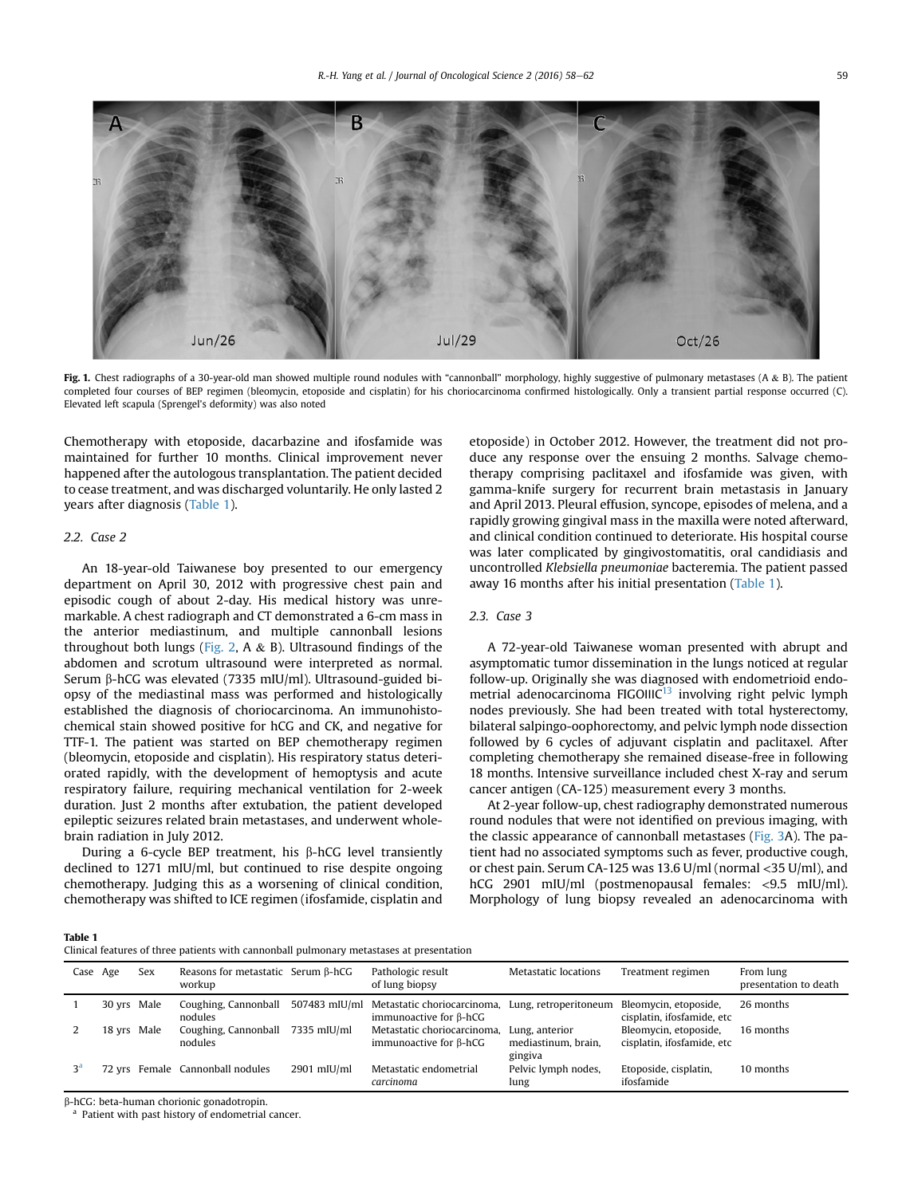<span id="page-1-0"></span>

Fig. 1. Chest radiographs of a 30-year-old man showed multiple round nodules with "cannonball" morphology, highly suggestive of pulmonary metastases (A & B). The patient completed four courses of BEP regimen (bleomycin, etoposide and cisplatin) for his choriocarcinoma confirmed histologically. Only a transient partial response occurred (C). Elevated left scapula (Sprengel's deformity) was also noted

Chemotherapy with etoposide, dacarbazine and ifosfamide was maintained for further 10 months. Clinical improvement never happened after the autologous transplantation. The patient decided to cease treatment, and was discharged voluntarily. He only lasted 2 years after diagnosis (Table 1).

# 2.2. Case 2

An 18-year-old Taiwanese boy presented to our emergency department on April 30, 2012 with progressive chest pain and episodic cough of about 2-day. His medical history was unremarkable. A chest radiograph and CT demonstrated a 6-cm mass in the anterior mediastinum, and multiple cannonball lesions throughout both lungs [\(Fig. 2](#page-2-0), A  $\&$  B). Ultrasound findings of the abdomen and scrotum ultrasound were interpreted as normal. Serum  $\beta$ -hCG was elevated (7335 mIU/ml). Ultrasound-guided biopsy of the mediastinal mass was performed and histologically established the diagnosis of choriocarcinoma. An immunohistochemical stain showed positive for hCG and CK, and negative for TTF-1. The patient was started on BEP chemotherapy regimen (bleomycin, etoposide and cisplatin). His respiratory status deteriorated rapidly, with the development of hemoptysis and acute respiratory failure, requiring mechanical ventilation for 2-week duration. Just 2 months after extubation, the patient developed epileptic seizures related brain metastases, and underwent wholebrain radiation in July 2012.

During a 6-cycle BEP treatment, his  $\beta$ -hCG level transiently declined to 1271 mIU/ml, but continued to rise despite ongoing chemotherapy. Judging this as a worsening of clinical condition, chemotherapy was shifted to ICE regimen (ifosfamide, cisplatin and etoposide) in October 2012. However, the treatment did not produce any response over the ensuing 2 months. Salvage chemotherapy comprising paclitaxel and ifosfamide was given, with gamma-knife surgery for recurrent brain metastasis in January and April 2013. Pleural effusion, syncope, episodes of melena, and a rapidly growing gingival mass in the maxilla were noted afterward, and clinical condition continued to deteriorate. His hospital course was later complicated by gingivostomatitis, oral candidiasis and uncontrolled Klebsiella pneumoniae bacteremia. The patient passed away 16 months after his initial presentation (Table 1).

# 2.3. Case 3

A 72-year-old Taiwanese woman presented with abrupt and asymptomatic tumor dissemination in the lungs noticed at regular follow-up. Originally she was diagnosed with endometrioid endometrial adenocarcinoma FIGOIIIC<sup>13</sup> involving right pelvic lymph nodes previously. She had been treated with total hysterectomy, bilateral salpingo-oophorectomy, and pelvic lymph node dissection followed by 6 cycles of adjuvant cisplatin and paclitaxel. After completing chemotherapy she remained disease-free in following 18 months. Intensive surveillance included chest X-ray and serum cancer antigen (CA-125) measurement every 3 months.

At 2-year follow-up, chest radiography demonstrated numerous round nodules that were not identified on previous imaging, with the classic appearance of cannonball metastases [\(Fig. 3A](#page-2-0)). The patient had no associated symptoms such as fever, productive cough, or chest pain. Serum CA-125 was 13.6 U/ml (normal <35 U/ml), and hCG 2901 mIU/ml (postmenopausal females: <9.5 mIU/ml). Morphology of lung biopsy revealed an adenocarcinoma with

Table 1

Clinical features of three patients with cannonball pulmonary metastases at presentation

| Case Age       |             | Sex | Reasons for metastatic Serum $\beta$ -hCG<br>workup |               | Pathologic result<br>of lung biopsy                                        | Metastatic locations                             | Treatment regimen                                   | From lung<br>presentation to death |
|----------------|-------------|-----|-----------------------------------------------------|---------------|----------------------------------------------------------------------------|--------------------------------------------------|-----------------------------------------------------|------------------------------------|
|                | 30 yrs Male |     | Coughing, Cannonball<br>nodules                     |               | 507483 mIU/ml Metastatic choriocarcinoma,<br>immunoactive for $\beta$ -hCG | Lung, retroperitoneum                            | Bleomycin, etoposide,<br>cisplatin, ifosfamide, etc | 26 months                          |
|                | 18 yrs Male |     | Coughing, Cannonball<br>nodules                     | 7335 mIU/ml   | Metastatic choriocarcinoma,<br>immunoactive for $\beta$ -hCG               | Lung, anterior<br>mediastinum, brain,<br>gingiva | Bleomycin, etoposide,<br>cisplatin, ifosfamide, etc | 16 months                          |
| 3 <sup>a</sup> |             |     | 72 yrs Female Cannonball nodules                    | $2901$ mIU/ml | Metastatic endometrial<br>carcinoma                                        | Pelvic lymph nodes,<br>lung                      | Etoposide, cisplatin,<br>ifosfamide                 | 10 months                          |

b-hCG: beta-human chorionic gonadotropin.

Patient with past history of endometrial cancer.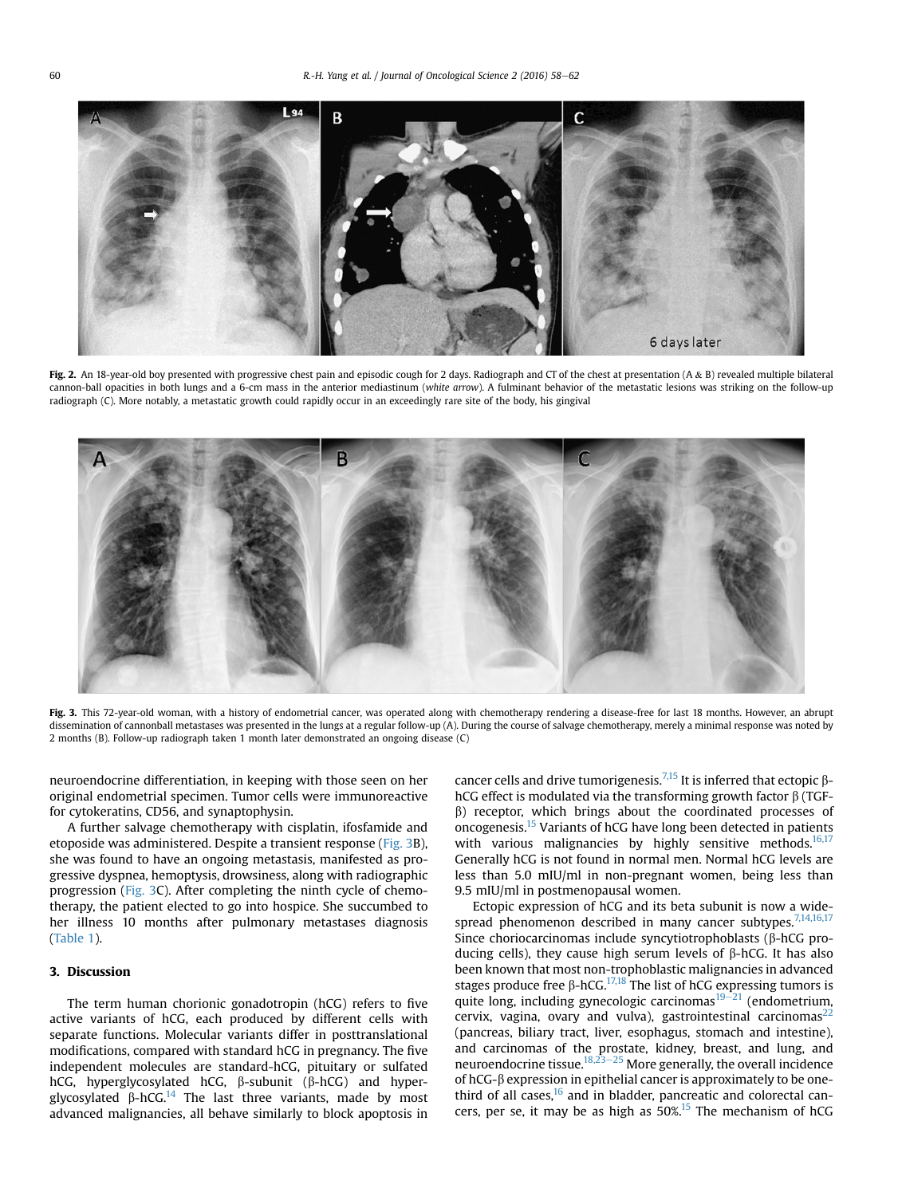<span id="page-2-0"></span>

Fig. 2. An 18-year-old boy presented with progressive chest pain and episodic cough for 2 days. Radiograph and CT of the chest at presentation (A & B) revealed multiple bilateral cannon-ball opacities in both lungs and a 6-cm mass in the anterior mediastinum (white arrow). A fulminant behavior of the metastatic lesions was striking on the follow-up radiograph (C). More notably, a metastatic growth could rapidly occur in an exceedingly rare site of the body, his gingival



Fig. 3. This 72-year-old woman, with a history of endometrial cancer, was operated along with chemotherapy rendering a disease-free for last 18 months. However, an abrupt dissemination of cannonball metastases was presented in the lungs at a regular follow-up (A). During the course of salvage chemotherapy, merely a minimal response was noted by 2 months (B). Follow-up radiograph taken 1 month later demonstrated an ongoing disease (C)

neuroendocrine differentiation, in keeping with those seen on her original endometrial specimen. Tumor cells were immunoreactive for cytokeratins, CD56, and synaptophysin.

A further salvage chemotherapy with cisplatin, ifosfamide and etoposide was administered. Despite a transient response (Fig. 3B), she was found to have an ongoing metastasis, manifested as progressive dyspnea, hemoptysis, drowsiness, along with radiographic progression (Fig. 3C). After completing the ninth cycle of chemotherapy, the patient elected to go into hospice. She succumbed to her illness 10 months after pulmonary metastases diagnosis ([Table 1\)](#page-1-0).

# 3. Discussion

The term human chorionic gonadotropin (hCG) refers to five active variants of hCG, each produced by different cells with separate functions. Molecular variants differ in posttranslational modifications, compared with standard hCG in pregnancy. The five independent molecules are standard-hCG, pituitary or sulfated hCG, hyperglycosylated hCG,  $\beta$ -subunit ( $\beta$ -hCG) and hyperglycosylated  $\beta$ -hCG.<sup>14</sup> The last three variants, made by most advanced malignancies, all behave similarly to block apoptosis in cancer cells and drive tumorigenesis.<sup>[7,15](#page-3-0)</sup> It is inferred that ectopic  $\beta$ hCG effect is modulated via the transforming growth factor  $\beta$  (TGF- $\beta$ ) receptor, which brings about the coordinated processes of oncogenesis.[15](#page-3-0) Variants of hCG have long been detected in patients with various malignancies by highly sensitive methods.<sup>16,17</sup> Generally hCG is not found in normal men. Normal hCG levels are less than 5.0 mIU/ml in non-pregnant women, being less than 9.5 mIU/ml in postmenopausal women.

Ectopic expression of hCG and its beta subunit is now a widespread phenomenon described in many cancer subtypes. $7,14,16,17$ Since choriocarcinomas include syncytiotrophoblasts ( $\beta$ -hCG producing cells), they cause high serum levels of  $\beta$ -hCG. It has also been known that most non-trophoblastic malignancies in advanced stages produce free  $\beta$ -hCG.<sup>[17,18](#page-3-0)</sup> The list of hCG expressing tumors is quite long, including gynecologic carcinomas<sup>[19](#page-3-0)-[21](#page-3-0)</sup> (endometrium, cervix, vagina, ovary and vulva), gastrointestinal carcinomas<sup>[22](#page-3-0)</sup> (pancreas, biliary tract, liver, esophagus, stomach and intestine), and carcinomas of the prostate, kidney, breast, and lung, and<br>neuroendocrine tissue.<sup>18,23–[25](#page-3-0)</sup> More generally, the overall incidence of  $hCG-\beta$  expression in epithelial cancer is approximately to be onethird of all cases, $16$  and in bladder, pancreatic and colorectal cancers, per se, it may be as high as  $50\%$ <sup>15</sup> The mechanism of hCG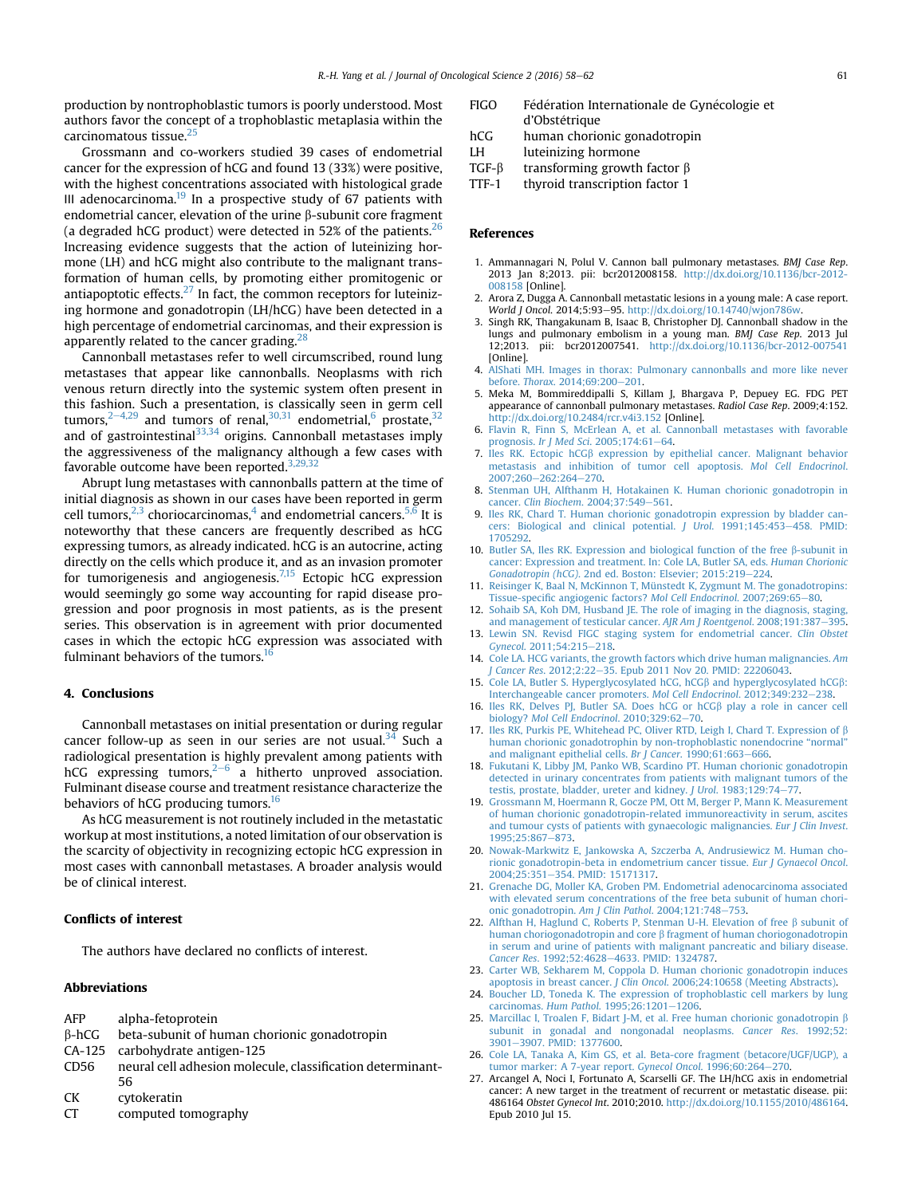<span id="page-3-0"></span>production by nontrophoblastic tumors is poorly understood. Most authors favor the concept of a trophoblastic metaplasia within the carcinomatous tissue.25

Grossmann and co-workers studied 39 cases of endometrial cancer for the expression of hCG and found 13 (33%) were positive, with the highest concentrations associated with histological grade III adenocarcinoma. $19$  In a prospective study of 67 patients with endometrial cancer, elevation of the urine B-subunit core fragment (a degraded hCG product) were detected in 52% of the patients.  $26$ Increasing evidence suggests that the action of luteinizing hormone (LH) and hCG might also contribute to the malignant transformation of human cells, by promoting either promitogenic or antiapoptotic effects. $27$  In fact, the common receptors for luteinizing hormone and gonadotropin (LH/hCG) have been detected in a high percentage of endometrial carcinomas, and their expression is apparently related to the cancer grading.<sup>[28](#page-4-0)</sup>

Cannonball metastases refer to well circumscribed, round lung metastases that appear like cannonballs. Neoplasms with rich venous return directly into the systemic system often present in this fashion. Such a presentation, is classically seen in germ cell tumors,  $2-4,29$  and tumors of renal,  $30,31$  endometrial,  $6$  prostate,  $32$ and of gastrointestinal<sup>[33,34](#page-4-0)</sup> origins. Cannonball metastases imply the aggressiveness of the malignancy although a few cases with favorable outcome have been reported. $3,29,32$ 

Abrupt lung metastases with cannonballs pattern at the time of initial diagnosis as shown in our cases have been reported in germ cell tumors, $2,3$  choriocarcinomas,<sup>4</sup> and endometrial cancers.<sup>5,6</sup> It is noteworthy that these cancers are frequently described as hCG expressing tumors, as already indicated. hCG is an autocrine, acting directly on the cells which produce it, and as an invasion promoter for tumorigenesis and angiogenesis.<sup>7,15</sup> Ectopic hCG expression would seemingly go some way accounting for rapid disease progression and poor prognosis in most patients, as is the present series. This observation is in agreement with prior documented cases in which the ectopic hCG expression was associated with fulminant behaviors of the tumors.<sup>16</sup>

# 4. Conclusions

Cannonball metastases on initial presentation or during regular cancer follow-up as seen in our series are not usual.<sup>[34](#page-4-0)</sup> Such a radiological presentation is highly prevalent among patients with hCG expressing tumors, $2^{-6}$  a hitherto unproved association. Fulminant disease course and treatment resistance characterize the behaviors of hCG producing tumors.<sup>16</sup>

As hCG measurement is not routinely included in the metastatic workup at most institutions, a noted limitation of our observation is the scarcity of objectivity in recognizing ectopic hCG expression in most cases with cannonball metastases. A broader analysis would be of clinical interest.

# Conflicts of interest

The authors have declared no conflicts of interest.

# Abbreviations

| AFP          | alpha-fetoprotein                                          |  |  |
|--------------|------------------------------------------------------------|--|--|
| $\beta$ -hCG | beta-subunit of human chorionic gonadotropin               |  |  |
|              | CA-125 carbohydrate antigen-125                            |  |  |
| CD56         | neural cell adhesion molecule, classification determinant- |  |  |
|              | 56                                                         |  |  |
| СK           | cytokeratin                                                |  |  |
| CT           | computed tomography                                        |  |  |

- FIGO Fédération Internationale de Gynécologie et d'Obstétrique
- hCG human chorionic gonadotropin
- LH luteinizing hormone
- 
- TGF- $\beta$  transforming growth factor  $\beta$ <br>TTF-1 thyroid transcription factor 1 thyroid transcription factor 1

# References

- 1. Ammannagari N, Polul V. Cannon ball pulmonary metastases. BMJ Case Rep. 2013 Jan 8;2013. pii: bcr2012008158. [http://dx.doi.org/10.1136/bcr-2012-](http://dx.doi.org/10.1136/bcr-2012-008158) [008158](http://dx.doi.org/10.1136/bcr-2012-008158) [Online].
- 2. Arora Z, Dugga A. Cannonball metastatic lesions in a young male: A case report. World J Oncol. 2014;5:93-95. <http://dx.doi.org/10.14740/wjon786w>
- 3. Singh RK, Thangakunam B, Isaac B, Christopher DJ. Cannonball shadow in the lungs and pulmonary embolism in a young man. BMJ Case Rep. 2013 Jul 12;2013. pii: bcr2012007541. <http://dx.doi.org/10.1136/bcr-2012-007541> [Online].
- 4. [AlShati MH. Images in thorax: Pulmonary cannonballs and more like never](http://refhub.elsevier.com/S2452-3364(16)30027-9/sref4) before. Thorax[. 2014;69:200](http://refhub.elsevier.com/S2452-3364(16)30027-9/sref4)-[201](http://refhub.elsevier.com/S2452-3364(16)30027-9/sref4).
- 5. Meka M, Bommireddipalli S, Killam J, Bhargava P, Depuey EG. FDG PET appearance of cannonball pulmonary metastases. Radiol Case Rep. 2009;4:152. <http://dx.doi.org/10.2484/rcr.v4i3.152> [Online].
- 6. [Flavin R, Finn S, McErlean A, et al. Cannonball metastases with favorable](http://refhub.elsevier.com/S2452-3364(16)30027-9/sref6) prognosis. Ir J Med Sci[. 2005;174:61](http://refhub.elsevier.com/S2452-3364(16)30027-9/sref6)-[64](http://refhub.elsevier.com/S2452-3364(16)30027-9/sref6).
- 7. Iles RK. Ectopic hCG $\beta$  [expression by epithelial cancer. Malignant behavior](http://refhub.elsevier.com/S2452-3364(16)30027-9/sref7) [metastasis and inhibition of tumor cell apoptosis.](http://refhub.elsevier.com/S2452-3364(16)30027-9/sref7) Mol Cell Endocrinol. 2007:260-[262:264](http://refhub.elsevier.com/S2452-3364(16)30027-9/sref7)-[270](http://refhub.elsevier.com/S2452-3364(16)30027-9/sref7).
- 8. [Stenman UH, Alfthanm H, Hotakainen K. Human chorionic gonadotropin in](http://refhub.elsevier.com/S2452-3364(16)30027-9/sref8) cancer. Clin Biochem[. 2004;37:549](http://refhub.elsevier.com/S2452-3364(16)30027-9/sref8)-[561.](http://refhub.elsevier.com/S2452-3364(16)30027-9/sref8)
- 9. [Iles RK, Chard T. Human chorionic gonadotropin expression by bladder can](http://refhub.elsevier.com/S2452-3364(16)30027-9/sref9)[cers: Biological and clinical potential.](http://refhub.elsevier.com/S2452-3364(16)30027-9/sref9) J Urol. 1991;145:453-[458. PMID:](http://refhub.elsevier.com/S2452-3364(16)30027-9/sref9) [1705292.](http://refhub.elsevier.com/S2452-3364(16)30027-9/sref9)
- 10. [Butler SA, Iles RK. Expression and biological function of the free](http://refhub.elsevier.com/S2452-3364(16)30027-9/sref10)  $\beta$ -subunit in [cancer: Expression and treatment. In: Cole LA, Butler SA, eds.](http://refhub.elsevier.com/S2452-3364(16)30027-9/sref10) Human Chorionic Gonadotropin (hCG)[. 2nd ed. Boston: Elsevier; 2015:219](http://refhub.elsevier.com/S2452-3364(16)30027-9/sref10)-[224](http://refhub.elsevier.com/S2452-3364(16)30027-9/sref10).
- [Reisinger K, Baal N, McKinnon T, Münstedt K, Zygmunt M. The gonadotropins:](http://refhub.elsevier.com/S2452-3364(16)30027-9/sref11) Tissue-specifi[c angiogenic factors?](http://refhub.elsevier.com/S2452-3364(16)30027-9/sref11) Mol Cell Endocrinol. 2007;269:65-[80](http://refhub.elsevier.com/S2452-3364(16)30027-9/sref11).
- 12. [Sohaib SA, Koh DM, Husband JE. The role of imaging in the diagnosis, staging,](http://refhub.elsevier.com/S2452-3364(16)30027-9/sref12) [and management of testicular cancer.](http://refhub.elsevier.com/S2452-3364(16)30027-9/sref12) AJR Am J Roentgenol. 2008;191:387-[395](http://refhub.elsevier.com/S2452-3364(16)30027-9/sref12).
- 13. [Lewin SN. Revisd FIGC staging system for endometrial cancer.](http://refhub.elsevier.com/S2452-3364(16)30027-9/sref13) Clin Obstet Gynecol[. 2011;54:215](http://refhub.elsevier.com/S2452-3364(16)30027-9/sref13)-[218](http://refhub.elsevier.com/S2452-3364(16)30027-9/sref13).
- 14. [Cole LA. HCG variants, the growth factors which drive human malignancies.](http://refhub.elsevier.com/S2452-3364(16)30027-9/sref14) Am Gancer Res. 2012;2:22-[35. Epub 2011 Nov 20. PMID: 22206043.](http://refhub.elsevier.com/S2452-3364(16)30027-9/sref14)
- 15. [Cole LA, Butler S. Hyperglycosylated hCG, hCG](http://refhub.elsevier.com/S2452-3364(16)30027-9/sref15) $\beta$  and hyperglycosylated hCG $\beta$ : [Interchangeable cancer promoters.](http://refhub.elsevier.com/S2452-3364(16)30027-9/sref15) Mol Cell Endocrinol. 2012;349:232-[238.](http://refhub.elsevier.com/S2452-3364(16)30027-9/sref15)
- 16. [Iles RK, Delves PJ, Butler SA. Does hCG or hCG](http://refhub.elsevier.com/S2452-3364(16)30027-9/sref16)ß play a role in cancer cell biology? [Mol Cell Endocrinol](http://refhub.elsevier.com/S2452-3364(16)30027-9/sref16).  $2010;329:62-70$ .
- 17. [Iles RK, Purkis PE, Whitehead PC, Oliver RTD, Leigh I, Chard T. Expression of](http://refhub.elsevier.com/S2452-3364(16)30027-9/sref17)  $\beta$ [human chorionic gonadotrophin by non-trophoblastic nonendocrine](http://refhub.elsevier.com/S2452-3364(16)30027-9/sref17) "normal" [and malignant epithelial cells.](http://refhub.elsevier.com/S2452-3364(16)30027-9/sref17) Br J Cancer. 1990;61:663-[666](http://refhub.elsevier.com/S2452-3364(16)30027-9/sref17).
- 18. [Fukutani K, Libby JM, Panko WB, Scardino PT. Human chorionic gonadotropin](http://refhub.elsevier.com/S2452-3364(16)30027-9/sref18) [detected in urinary concentrates from patients with malignant tumors of the](http://refhub.elsevier.com/S2452-3364(16)30027-9/sref18) [testis, prostate, bladder, ureter and kidney.](http://refhub.elsevier.com/S2452-3364(16)30027-9/sref18) J Urol. 1983;129:74-[77](http://refhub.elsevier.com/S2452-3364(16)30027-9/sref18).
- 19. [Grossmann M, Hoermann R, Gocze PM, Ott M, Berger P, Mann K. Measurement](http://refhub.elsevier.com/S2452-3364(16)30027-9/sref19) [of human chorionic gonadotropin-related immunoreactivity in serum, ascites](http://refhub.elsevier.com/S2452-3364(16)30027-9/sref19) [and tumour cysts of patients with gynaecologic malignancies.](http://refhub.elsevier.com/S2452-3364(16)30027-9/sref19) Eur J Clin Invest. 1995:25:867-[873.](http://refhub.elsevier.com/S2452-3364(16)30027-9/sref19)
- 20. [Nowak-Markwitz E, Jankowska A, Szczerba A, Andrusiewicz M. Human cho](http://refhub.elsevier.com/S2452-3364(16)30027-9/sref20)[rionic gonadotropin-beta in endometrium cancer tissue.](http://refhub.elsevier.com/S2452-3364(16)30027-9/sref20) Eur J Gynaecol Oncol. [2004;25:351](http://refhub.elsevier.com/S2452-3364(16)30027-9/sref20)-[354. PMID: 15171317.](http://refhub.elsevier.com/S2452-3364(16)30027-9/sref20)
- 21. [Grenache DG, Moller KA, Groben PM. Endometrial adenocarcinoma associated](http://refhub.elsevier.com/S2452-3364(16)30027-9/sref21) [with elevated serum concentrations of the free beta subunit of human chori](http://refhub.elsevier.com/S2452-3364(16)30027-9/sref21)[onic gonadotropin.](http://refhub.elsevier.com/S2452-3364(16)30027-9/sref21) Am J Clin Pathol. 2004;121:748-[753.](http://refhub.elsevier.com/S2452-3364(16)30027-9/sref21)
- 22. [Alfthan H, Haglund C, Roberts P, Stenman U-H. Elevation of free](http://refhub.elsevier.com/S2452-3364(16)30027-9/sref22) b subunit of human choriogonadotropin and core  $\beta$  [fragment of human choriogonadotropin](http://refhub.elsevier.com/S2452-3364(16)30027-9/sref22) [in serum and urine of patients with malignant pancreatic and biliary disease.](http://refhub.elsevier.com/S2452-3364(16)30027-9/sref22) Cancer Res[. 1992;52:4628](http://refhub.elsevier.com/S2452-3364(16)30027-9/sref22)-[4633. PMID: 1324787](http://refhub.elsevier.com/S2452-3364(16)30027-9/sref22).
- 23. [Carter WB, Sekharem M, Coppola D. Human chorionic gonadotropin induces](http://refhub.elsevier.com/S2452-3364(16)30027-9/sref23) apoptosis in breast cancer. J Clin Oncol[. 2006;24:10658 \(Meeting Abstracts\).](http://refhub.elsevier.com/S2452-3364(16)30027-9/sref23)
- 24. [Boucher LD, Toneda K. The expression of trophoblastic cell markers by lung](http://refhub.elsevier.com/S2452-3364(16)30027-9/sref24) carcinomas. Hum Pathol.  $1995:26:1201-1206$ .
- 25. [Marcillac I, Troalen F, Bidart J-M, et al. Free human chorionic gonadotropin](http://refhub.elsevier.com/S2452-3364(16)30027-9/sref25)  $\beta$ [subunit in gonadal and nongonadal neoplasms.](http://refhub.elsevier.com/S2452-3364(16)30027-9/sref25) Cancer Res. 1992;52:<br>[3901](http://refhub.elsevier.com/S2452-3364(16)30027-9/sref25)–[3907. PMID: 1377600](http://refhub.elsevier.com/S2452-3364(16)30027-9/sref25).
- 26. [Cole LA, Tanaka A, Kim GS, et al. Beta-core fragment \(betacore/UGF/UGP\), a](http://refhub.elsevier.com/S2452-3364(16)30027-9/sref26) [tumor marker: A 7-year report.](http://refhub.elsevier.com/S2452-3364(16)30027-9/sref26) Gynecol Oncol. 1996;60:264-[270.](http://refhub.elsevier.com/S2452-3364(16)30027-9/sref26)
- 27. Arcangel A, Noci I, Fortunato A, Scarselli GF. The LH/hCG axis in endometrial cancer: A new target in the treatment of recurrent or metastatic disease. pii: 486164 Obstet Gynecol Int. 2010;2010. <http://dx.doi.org/10.1155/2010/486164>. Epub 2010 Jul 15.